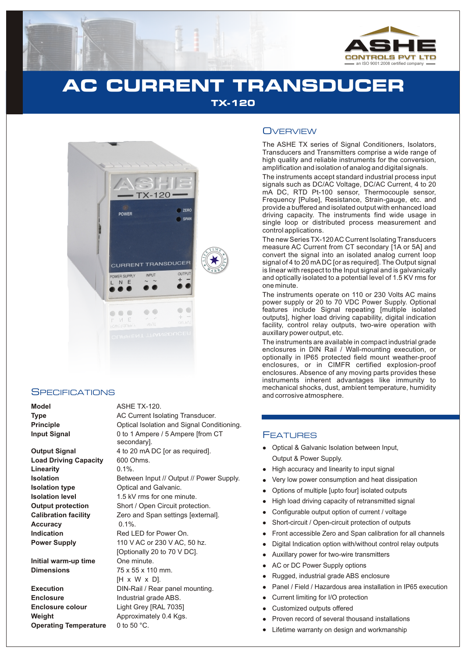

# **AC CURRENT TRANSDUCER TX-120**

**E**



### **SPECIFICATIONS**

Load Driving Capacity 600 Ohms. **Linearity** 0.1%. **Accuracy** 0.1%.

**Initial warm-up time** One minute. **Dimensions** 75 x 55 x 110 mm.

**Enclosure** Industrial grade ABS. **Enclosure colour** Light Grey [RAL 7035] **Weight Approximately 0.4 Kgs. Operating Temperature** 0 to 50 °C.

#### **Model** ASHE TX-120.

**Type AC Current Isolating Transducer. Principle Conditional Isolation and Signal Conditioning. Input Signal** 0 to 1 Ampere / 5 Ampere [from CT secondary]. **Output Signal** 4 to 20 mA DC [or as required]. **Isolation** Between Input // Output // Power Supply. **Isolation type Optical and Galvanic. Isolation level** 1.5 kV rms for one minute. **Output protection** Short / Open Circuit protection. **Calibration facility** Zero and Span settings [external]. **Indication Red LED** for Power On. **Power Supply** 110 V AC or 230 V AC, 50 hz. [Optionally 20 to 70 V DC]. [H x W x D]. **Execution** DIN-Rail / Rear panel mounting.

### **OVERVIEW**

The ASHE TX series of Signal Conditioners, Isolators, Transducers and Transmitters comprise a wide range of high quality and reliable instruments for the conversion, amplification and isolation of analog and digital signals.

The instruments accept standard industrial process input signals such as DC/AC Voltage, DC/AC Current, 4 to 20 mA DC, RTD Pt-100 sensor, Thermocouple sensor, Frequency [Pulse], Resistance, Strain-gauge, etc. and provide a buffered and isolated output with enhanced load driving capacity. The instruments find wide usage in single loop or distributed process measurement and control applications.

The new Series TX-120 AC Current Isolating Transducers measure AC Current from CT secondary [1A or 5A] and convert the signal into an isolated analog current loop signal of 4 to 20 mADC [or as required]. The Output signal is linear with respect to the Input signal and is galvanically and optically isolated to a potential level of 1.5 KV rms for one minute.

The instruments operate on 110 or 230 Volts AC mains power supply or 20 to 70 VDC Power Supply. Optional features include Signal repeating [multiple isolated outputs], higher load driving capability, digital indication facility, control relay outputs, two-wire operation with auxillary power output, etc.

The instruments are available in compact industrial grade enclosures in DIN Rail / Wall-mounting execution, or optionally in IP65 protected field mount weather-proof enclosures, or in CIMFR certified explosion-proof enclosures. Absence of any moving parts provides these instruments inherent advantages like immunity to mechanical shocks, dust, ambient temperature, humidity and corrosive atmosphere.

### **FEATURES**

- Optical & Galvanic Isolation between Input, Output & Power Supply.
- High accuracy and linearity to input signal
- llightar Mery Optic High Control High Control Show From Digit and Action Currence Currence Currence Currence Currence Currence Currence Currence Currence Currence Currence Currence Currence Currence Currence Currence Curre Very low power consumption and heat dissipation
- Options of multiple [upto four] isolated outputs
- High load driving capacity of retransmitted signal
- Configurable output option of current / voltage
- Short-circuit / Open-circuit protection of outputs
- Front accessible Zero and Span calibration for all channels
- Digital Indication option with/without control relay outputs  $\bullet$
- Auxillary power for two-wire transmitters
- AC or DC Power Supply options  $\bullet$
- Rugged, industrial grade ABS enclosure
- Panel / Field / Hazardous area installation in IP65 execution
- Current limiting for I/O protection
- Customized outputs offered
- Proven record of several thousand installations
- Lifetime warranty on design and workmanship